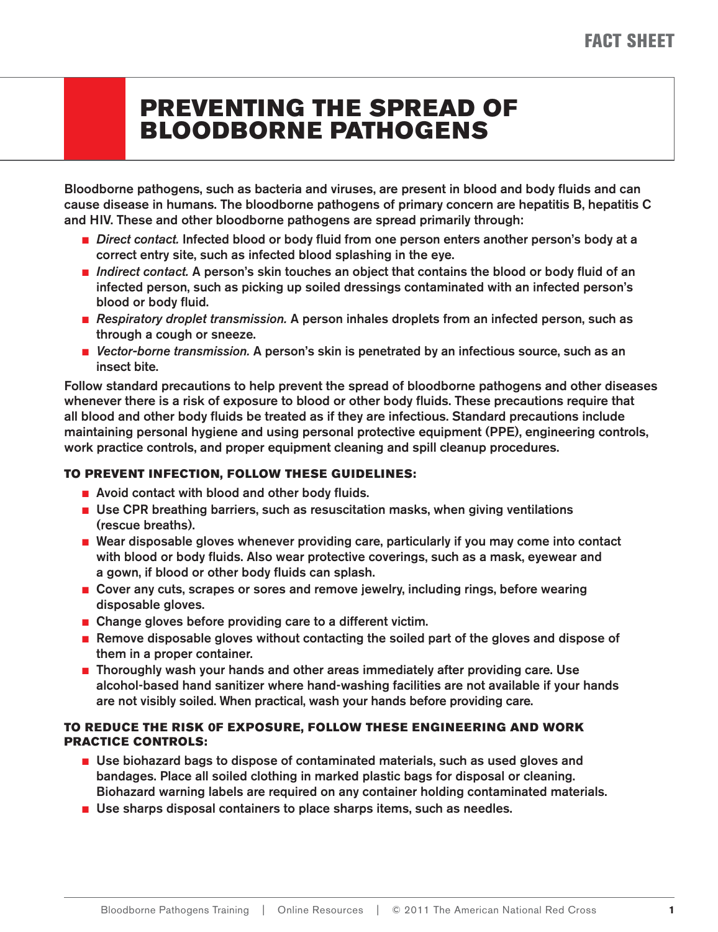### **PREVENTING THE SPREAD OF BLOODBORNE PATHOGENS**

**Bloodborne pathogens, such as bacteria and viruses, are present in blood and body fl uids and can cause disease in humans. The bloodborne pathogens of primary concern are hepatitis B, hepatitis C and HIV. These and other bloodborne pathogens are spread primarily through:**

- *Direct contact.* Infected blood or body fluid from one person enters another person's body at a **correct entry site, such as infected blood splashing in the eye.**
- *Indirect contact.* A person's skin touches an object that contains the blood or body fluid of an **infected person, such as picking up soiled dressings contaminated with an infected person's blood or body fluid.**
- *Respiratory droplet transmission.* A person inhales droplets from an infected person, such as **through a cough or sneeze.**
- *Vector-borne transmission.* A person's skin is penetrated by an infectious source, such as an **insect bite.**

**Follow standard precautions to help prevent the spread of bloodborne pathogens and other diseases**  whenever there is a risk of exposure to blood or other body fluids. These precautions require that all blood and other body fluids be treated as if they are infectious. Standard precautions include **maintaining personal hygiene and using personal protective equipment (PPE), engineering controls, work practice controls, and proper equipment cleaning and spill cleanup procedures.**

### **TO PREVENT INFECTION, FOLLOW THESE GUIDELINES:**

- Avoid contact with blood and other body fluids.
- Use CPR breathing barriers, such as resuscitation masks, when giving ventilations **(rescue breaths).**
- Wear disposable gloves whenever providing care, particularly if you may come into contact with blood or body fluids. Also wear protective coverings, such as a mask, eyewear and a gown, if blood or other body fluids can splash.
- **Cover any cuts, scrapes or sores and remove jewelry, including rings, before wearing disposable gloves.**
- **Change gloves before providing care to a different victim.**
- **Remove disposable gloves without contacting the soiled part of the gloves and dispose of them in a proper container.**
- **Thoroughly wash your hands and other areas immediately after providing care. Use alcohol-based hand sanitizer where hand-washing facilities are not available if your hands are not visibly soiled. When practical, wash your hands before providing care.**

### **TO REDUCE THE RISK 0F EXPOSURE, FOLLOW THESE ENGINEERING AND WORK PRACTICE CONTROLS:**

- Use biohazard bags to dispose of contaminated materials, such as used gloves and **bandages. Place all soiled clothing in marked plastic bags for disposal or cleaning. Biohazard warning labels are required on any container holding contaminated materials.**
- Use sharps disposal containers to place sharps items, such as needles.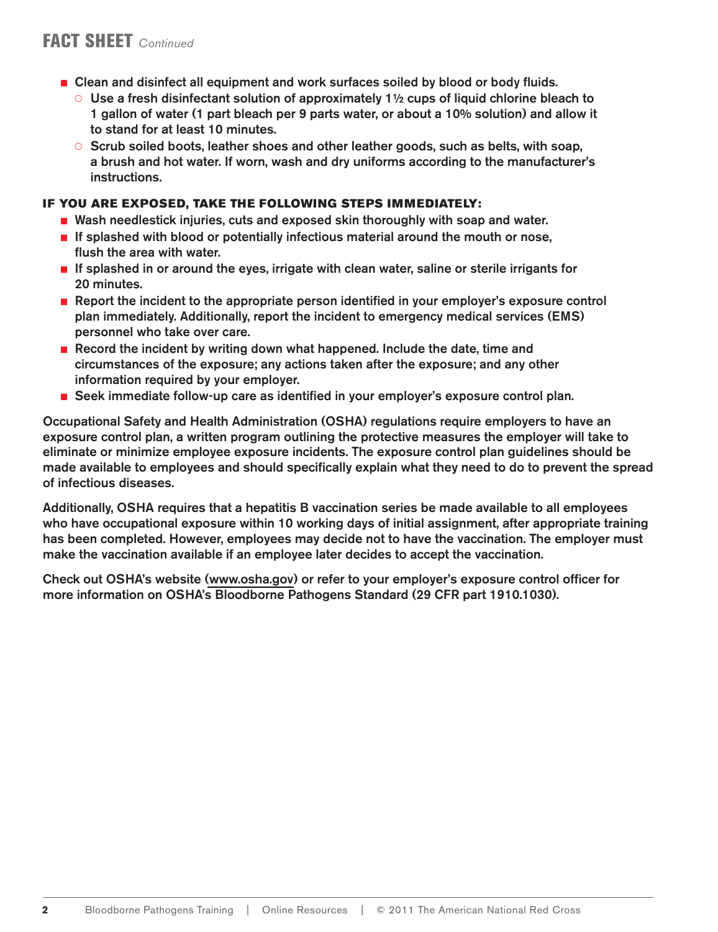- **Clean and disinfect all equipment and work surfaces soiled by blood or body fluids.** 
	- { **Use a fresh disinfectant solution of approximately 1½ cups of liquid chlorine bleach to 1 gallon of water (1 part bleach per 9 parts water, or about a 10% solution) and allow it to stand for at least 10 minutes.**
	- { **Scrub soiled boots, leather shoes and other leather goods, such as belts, with soap, a brush and hot water. If worn, wash and dry uniforms according to the manufacturer's instructions.**

#### **IF YOU ARE EXPOSED, TAKE THE FOLLOWING STEPS IMMEDIATELY:**

- Wash needlestick injuries, cuts and exposed skin thoroughly with soap and water.
- If splashed with blood or potentially infectious material around the mouth or nose, **fl ush the area with water.**
- If splashed in or around the eyes, irrigate with clean water, saline or sterile irrigants for **20 minutes.**
- **Report the incident to the appropriate person identified in your employer's exposure control plan immediately. Additionally, report the incident to emergency medical services (EMS) personnel who take over care.**
- **Record the incident by writing down what happened. Include the date, time and circumstances of the exposure; any actions taken after the exposure; and any other information required by your employer.**
- Seek immediate follow-up care as identified in your employer's exposure control plan.

**Occupational Safety and Health Administration (OSHA) regulations require employers to have an exposure control plan, a written program outlining the protective measures the employer will take to eliminate or minimize employee exposure incidents. The exposure control plan guidelines should be**  made available to employees and should specifically explain what they need to do to prevent the spread **of infectious diseases.** 

**Additionally, OSHA requires that a hepatitis B vaccination series be made available to all employees who have occupational exposure within 10 working days of initial assignment, after appropriate training has been completed. However, employees may decide not to have the vaccination. The employer must make the vaccination available if an employee later decides to accept the vaccination.**

**Check out OSHA's website [\(www.osha.gov\)](www.osha.gov ) or refer to your employer's exposure control officer for more information on OSHA's Bloodborne Pathogens Standard (29 CFR part 1910.1030).**